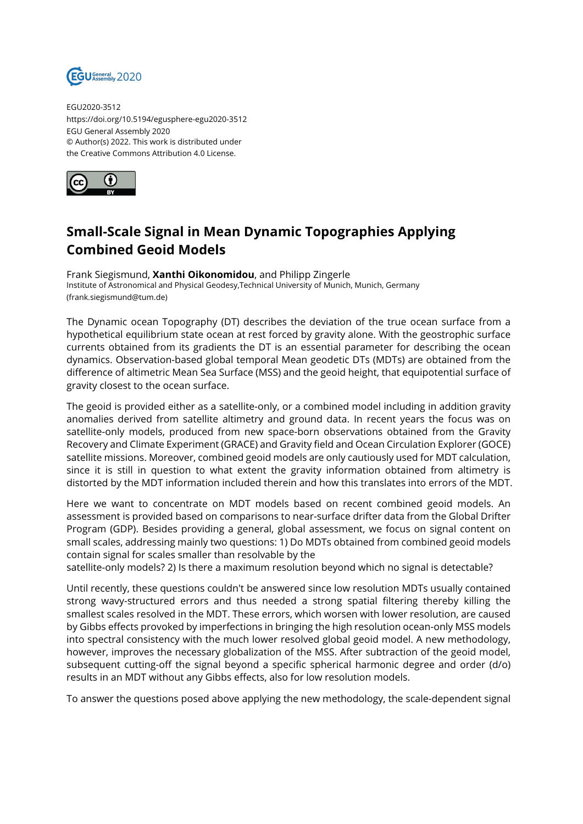

EGU2020-3512 https://doi.org/10.5194/egusphere-egu2020-3512 EGU General Assembly 2020 © Author(s) 2022. This work is distributed under the Creative Commons Attribution 4.0 License.



## **Small-Scale Signal in Mean Dynamic Topographies Applying Combined Geoid Models**

Frank Siegismund, **Xanthi Oikonomidou**, and Philipp Zingerle Institute of Astronomical and Physical Geodesy,Technical University of Munich, Munich, Germany (frank.siegismund@tum.de)

The Dynamic ocean Topography (DT) describes the deviation of the true ocean surface from a hypothetical equilibrium state ocean at rest forced by gravity alone. With the geostrophic surface currents obtained from its gradients the DT is an essential parameter for describing the ocean dynamics. Observation-based global temporal Mean geodetic DTs (MDTs) are obtained from the difference of altimetric Mean Sea Surface (MSS) and the geoid height, that equipotential surface of gravity closest to the ocean surface.

The geoid is provided either as a satellite-only, or a combined model including in addition gravity anomalies derived from satellite altimetry and ground data. In recent years the focus was on satellite-only models, produced from new space-born observations obtained from the Gravity Recovery and Climate Experiment (GRACE) and Gravity field and Ocean Circulation Explorer (GOCE) satellite missions. Moreover, combined geoid models are only cautiously used for MDT calculation, since it is still in question to what extent the gravity information obtained from altimetry is distorted by the MDT information included therein and how this translates into errors of the MDT.

Here we want to concentrate on MDT models based on recent combined geoid models. An assessment is provided based on comparisons to near-surface drifter data from the Global Drifter Program (GDP). Besides providing a general, global assessment, we focus on signal content on small scales, addressing mainly two questions: 1) Do MDTs obtained from combined geoid models contain signal for scales smaller than resolvable by the

satellite-only models? 2) Is there a maximum resolution beyond which no signal is detectable?

Until recently, these questions couldn't be answered since low resolution MDTs usually contained strong wavy-structured errors and thus needed a strong spatial filtering thereby killing the smallest scales resolved in the MDT. These errors, which worsen with lower resolution, are caused by Gibbs effects provoked by imperfections in bringing the high resolution ocean-only MSS models into spectral consistency with the much lower resolved global geoid model. A new methodology, however, improves the necessary globalization of the MSS. After subtraction of the geoid model, subsequent cutting-off the signal beyond a specific spherical harmonic degree and order (d/o) results in an MDT without any Gibbs effects, also for low resolution models.

To answer the questions posed above applying the new methodology, the scale-dependent signal